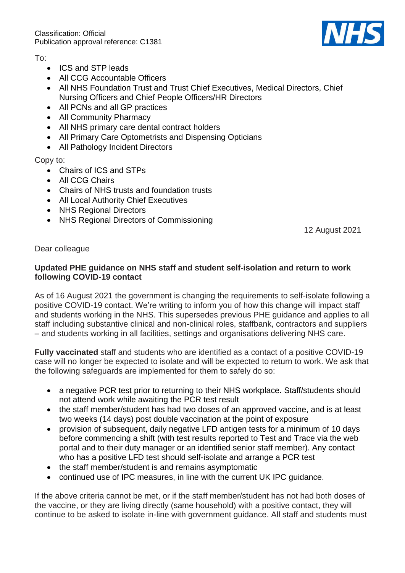Classification: Official Publication approval reference: C1381



To:

- ICS and STP leads
- All CCG Accountable Officers
- All NHS Foundation Trust and Trust Chief Executives, Medical Directors, Chief Nursing Officers and Chief People Officers/HR Directors
- All PCNs and all GP practices
- All Community Pharmacy
- All NHS primary care dental contract holders
- All Primary Care Optometrists and Dispensing Opticians
- All Pathology Incident Directors

Copy to:

- Chairs of ICS and STPs
- All CCG Chairs
- Chairs of NHS trusts and foundation trusts
- All Local Authority Chief Executives
- NHS Regional Directors
- NHS Regional Directors of Commissioning

12 August 2021

Dear colleague

## **Updated PHE guidance on NHS staff and student self-isolation and return to work following COVID-19 contact**

As of 16 August 2021 the government is changing the requirements to self-isolate following a positive COVID-19 contact. We're writing to inform you of how this change will impact staff and students working in the NHS. This supersedes previous PHE guidance and applies to all staff including substantive clinical and non-clinical roles, staffbank, contractors and suppliers – and students working in all facilities, settings and organisations delivering NHS care.

**Fully vaccinated** staff and students who are identified as a contact of a positive COVID-19 case will no longer be expected to isolate and will be expected to return to work. We ask that the following safeguards are implemented for them to safely do so:

- a negative PCR test prior to returning to their NHS workplace. Staff/students should not attend work while awaiting the PCR test result
- the staff member/student has had two doses of an approved vaccine, and is at least two weeks (14 days) post double vaccination at the point of exposure
- provision of subsequent, daily negative LFD antigen tests for a minimum of 10 days before commencing a shift (with test results reported to Test and Trace via the web portal and to their duty manager or an identified senior staff member). Any contact who has a positive LFD test should self-isolate and arrange a PCR test
- the staff member/student is and remains asymptomatic
- continued use of IPC measures, in line with the current UK IPC guidance.

If the above criteria cannot be met, or if the staff member/student has not had both doses of the vaccine, or they are living directly (same household) with a positive contact, they will continue to be asked to isolate in-line with government guidance. All staff and students must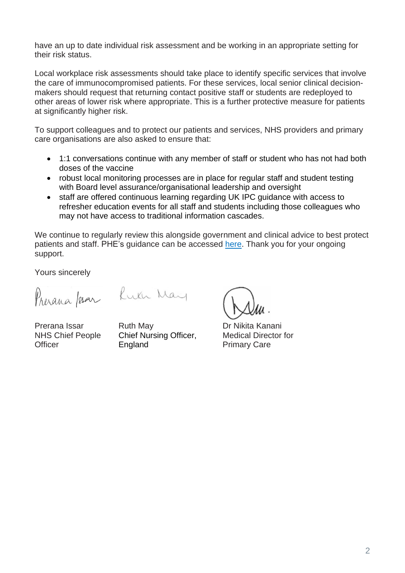have an up to date individual risk assessment and be working in an appropriate setting for their risk status.

Local workplace risk assessments should take place to identify specific services that involve the care of immunocompromised patients. For these services, local senior clinical decisionmakers should request that returning contact positive staff or students are redeployed to other areas of lower risk where appropriate. This is a further protective measure for patients at significantly higher risk.

To support colleagues and to protect our patients and services, NHS providers and primary care organisations are also asked to ensure that:

- 1:1 conversations continue with any member of staff or student who has not had both doses of the vaccine
- robust local monitoring processes are in place for regular staff and student testing with Board level assurance/organisational leadership and oversight
- staff are offered continuous learning regarding UK IPC guidance with access to refresher education events for all staff and students including those colleagues who may not have access to traditional information cascades.

We continue to regularly review this alongside government and clinical advice to best protect patients and staff. PHE's guidance can be accessed [here.](https://www.gov.uk/government/publications/covid-19-management-of-exposed-healthcare-workers-and-patients-in-hospital-settings/covid-19-management-of-exposed-healthcare-workers-and-patients-in-hospital-settings) Thank you for your ongoing support.

Yours sincerely

Presana /sar Luch May

Prerana Issar NHS Chief People **Officer** 

Ruth May Chief Nursing Officer, England

Dr Nikita Kanani Medical Director for Primary Care